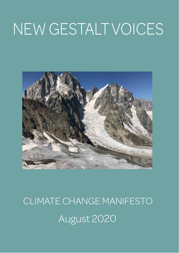# NEW GESTALT VOICES



# August 2020 CLIMATE CHANGE MANIFESTO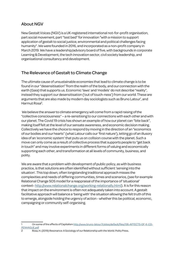# About NGV

New Gestalt Voices (NGV) is a UK-registered international not-for-profit organisation, part social movement, part "test bed" for innovation "with a mission to support application of gestalt to social justice, environmental and political challenges facing humanity". We were founded in 2016, and incorporated as a non-profit company in March 2019. We have a leadership/advisory board of five, with backgrounds in corporate Learning & Development, the tech innovation sector, civil society leadership, and organisational consultancy and development.

## The Relevance of Gestalt to Climate Change

The ultimate cause of unsustainable economies that lead to climate change is to be found in our "desensitisation" from the realm of the body, and our connection with the earth (Gaia) that supports us. Economic 'laws' and 'models' do not describe "reality", instead they support our desensitisation ('out of touch-ness') from our world. These are arguments that are also made by modern day sociologists such as Bruno Latour<sup>1</sup>, and Harmut Rosa<sup>2</sup>.

 We believe the answer to climate emergency will come from a rapid raising of the "collective consciousness" – a re-sensitising to our connections with each other and with our planet. The Covid 19 crisis has shown an example of how our planet can "bite back", making itself felt at the level of our sensate awareness, and economic decision making. Collectively we have the choice to respond by moving in the direction of an "economics of our bodies and our hearts" (what Latour calls our 'first nature'), letting go of an illusory idea of an 'economic system' that puts us on collision course with the planet. Such a move can only come as a result of collective process that supports people to "get back in touch" and may involve experiments in different forms of valuing and economically supporting each other, and transformation at all levels of community, business, and polity.

We are aware that a problem with development of public policy, as with business practice, is that solutions are often identified without sufficient 'sensing into the situation'. This top down, often longstanding traditional approach misses the complexities and needs of differing communities, times and scenarios, (see for example Relational Change SOS model for a reappraisal of the importance of 'situational' context- http://www.relationalchange.org/working-relationally.html). It is for this reason that impact on the environment is often not adequately taken into account. A gestalt facilitative approach will balance a 'being with' the situation allowing the felt truth of this to emerge, alongside holding the urgency of action - whether this be political, economic, campaigning or community self-organising.

On some of the affects of Capitalism http://www.bruno-latour.fr/sites/default/files/136-AFFECTS-OF-K-CO-PENHAGUE.pdf

<sup>2</sup> Rosa, H. (2019) Resonance: A Sociology of our Relationship with the World. Polity Press.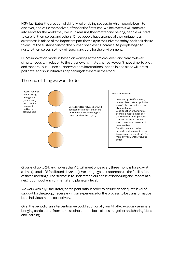NGV facilitates the creation of skilfully led enabling spaces, in which people begin to discover, and value themselves, often for the first time. We believe this will translate into a love for the world they live in. In realising they matter and belong, people will start to care for themselves and others. Once people have a sense of their uniqueness, awareness is raised of the important part they play in the universe today, and their desire to ensure the sustainability for the human species will increase. As people begin to nurture themselves, so they will touch and care for the environment.

NGV's innovation model is based on working at the "micro-level" and "macro-level" simultaneously. In relation to the urgency of climate change 'we don't have time' to pilot and then "roll out". Since our networks are international, action in one place will 'crosspollinate' and spur initiatives happening elsewhere in the world.



The kind of thing we want to do...

Groups of up to 24, and no less than 15, will meet once every three months for a day at a time (a total of 8 facilitated days/site). We bring a gestalt approach to the facilitation of these meetings. The "frame" is to understand our sense of belonging and impact at a neighbourhood, environmental and planetary level.

We work with a 1/6 facilitator/participant ratio in order to ensure an adequate level of support for the group, necessary in our experience for the process to be transformative both individually and collectively.

Over the period of an intervention we could additionally run 4 half-day zoom-seminars bringing participants from across cohorts - and local places - together and sharing ideas and learning.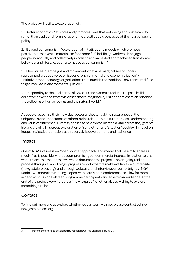The project will facilitate exploration of<sup>3</sup>:

1. Better economics: "explores and promotes ways that well-being and sustainability, rather than traditional forms of economic growth, could be placed at the heart of public policy".

2. Beyond consumerism: "exploration of initiatives and models which promote positive alternatives to materialism for a more fulfilled life." / "work which engages people individually and collectively in holistic and value -led approaches to transformed behaviour and lifestyle, as an alternative to consumerism."

3. New voices: "campaigns and movements that give marginalised or underrepresented groups a voice on issues of environmental and economic justice" / "initiatives that encourage organisations from outside the traditional environmental field to get involved in environmental justice."

4. Responding to the dual harms of Covid-19 and systemic racism: "Helps to build collective power and foster visions for more imaginative, just economies which prioritise the wellbeing of human beings and the natural world."

As people recognise their individual power and potential, their awareness of the uniqueness and importance of others is also raised. This in turn increases understanding and value of difference. Diversity ceases to be a threat, instead a vital part of the jigsaw of life and growth. This group exploration of 'self', 'other' and 'situation' could/will impact on inequality, justice, cohesion, aspiration, skills development, and resilience.

### Impact

One of NGV's values is an "open source" approach. This means that we aim to share as much IP as is possible, without compromising our commercial interest. In relation to this workstream, this means that we would document the project in an on-going real time process through a mix of blogs, progress reports that we make available on our website (newgestaltvoices.org), and through webcasts and interviews on our fortnightly "NGV Radio". We commit to running 4 open 'webinars'/zoom conferences to allow for more in depth discussion between programme participants and an external audience. At the end of the project we will create a '"how to guide" for other places wishing to explore something similar.

## **Contact**

To find out more and to explore whether we can work with you please contact John@ newgestaltvoices.org

<sup>3</sup> Matches to priorities developed by Joseph Rowntree Charitable Trust, UK